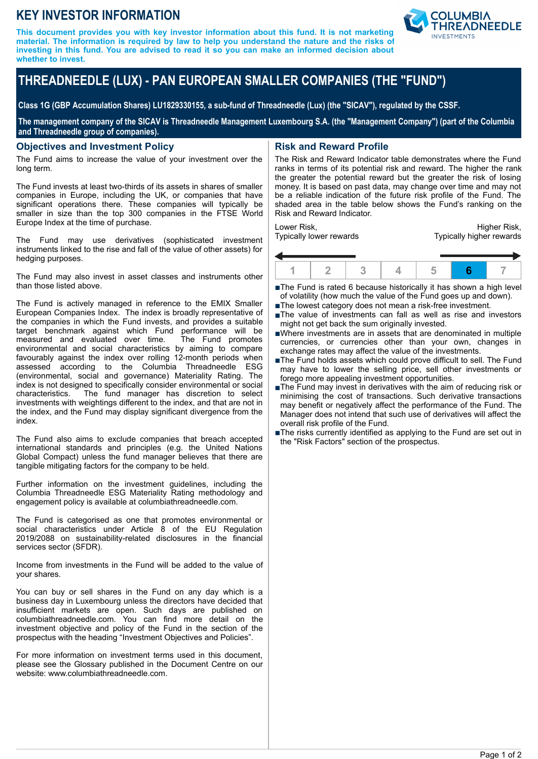## **KEY INVESTOR INFORMATION**

**This document provides you with key investor information about this fund. It is not marketing material. The information is required by law to help you understand the nature and the risks of investing in this fund. You are advised to read it so you can make an informed decision about whether to invest.**



# **THREADNEEDLE (LUX) - PAN EUROPEAN SMALLER COMPANIES (THE "FUND")**

**Class 1G (GBP Accumulation Shares) LU1829330155, a sub-fund of Threadneedle (Lux) (the "SICAV"), regulated by the CSSF.**

**The management company of the SICAV is Threadneedle Management Luxembourg S.A. (the "Management Company") (part of the Columbia and Threadneedle group of companies).**

#### **Objectives and Investment Policy**

The Fund aims to increase the value of your investment over the long term.

The Fund invests at least two-thirds of its assets in shares of smaller companies in Europe, including the UK, or companies that have significant operations there. These companies will typically be smaller in size than the top 300 companies in the FTSE World Europe Index at the time of purchase.

The Fund may use derivatives (sophisticated investment instruments linked to the rise and fall of the value of other assets) for hedging purposes.

The Fund may also invest in asset classes and instruments other than those listed above.

The Fund is actively managed in reference to the EMIX Smaller European Companies Index. The index is broadly representative of the companies in which the Fund invests, and provides a suitable target benchmark against which Fund performance will be measured and evaluated over time. The Fund promotes environmental and social characteristics by aiming to compare favourably against the index over rolling 12-month periods when assessed according to the Columbia Threadneedle ESG (environmental, social and governance) Materiality Rating. The index is not designed to specifically consider environmental or social characteristics. The fund manager has discretion to select investments with weightings different to the index, and that are not in the index, and the Fund may display significant divergence from the index.

The Fund also aims to exclude companies that breach accepted international standards and principles (e.g. the United Nations Global Compact) unless the fund manager believes that there are tangible mitigating factors for the company to be held.

Further information on the investment guidelines, including the Columbia Threadneedle ESG Materiality Rating methodology and engagement policy is available at columbiathreadneedle.com.

The Fund is categorised as one that promotes environmental or social characteristics under Article 8 of the EU Regulation 2019/2088 on sustainability-related disclosures in the financial services sector (SFDR).

Income from investments in the Fund will be added to the value of your shares.

You can buy or sell shares in the Fund on any day which is a business day in Luxembourg unless the directors have decided that insufficient markets are open. Such days are published on columbiathreadneedle.com. You can find more detail on the investment objective and policy of the Fund in the section of the prospectus with the heading "Investment Objectives and Policies".

For more information on investment terms used in this document, please see the Glossary published in the Document Centre on our website: www.columbiathreadneedle.com.

### **Risk and Reward Profile**

The Risk and Reward Indicator table demonstrates where the Fund ranks in terms of its potential risk and reward. The higher the rank the greater the potential reward but the greater the risk of losing money. It is based on past data, may change over time and may not be a reliable indication of the future risk profile of the Fund. The shaded area in the table below shows the Fund's ranking on the Risk and Reward Indicator.

Lower Risk, Typically lower rewards

Higher Risk, Typically higher rewards



■The Fund is rated 6 because historically it has shown a high level of volatility (how much the value of the Fund goes up and down).

- ■The lowest category does not mean a risk-free investment.
- ■The value of investments can fall as well as rise and investors might not get back the sum originally invested.
- nWhere investments are in assets that are denominated in multiple currencies, or currencies other than your own, changes in exchange rates may affect the value of the investments.
- ■The Fund holds assets which could prove difficult to sell. The Fund may have to lower the selling price, sell other investments or forego more appealing investment opportunities.
- $\blacksquare$  The Fund may invest in derivatives with the aim of reducing risk or minimising the cost of transactions. Such derivative transactions may benefit or negatively affect the performance of the Fund. The Manager does not intend that such use of derivatives will affect the overall risk profile of the Fund.
- The risks currently identified as applying to the Fund are set out in the "Risk Factors" section of the prospectus.